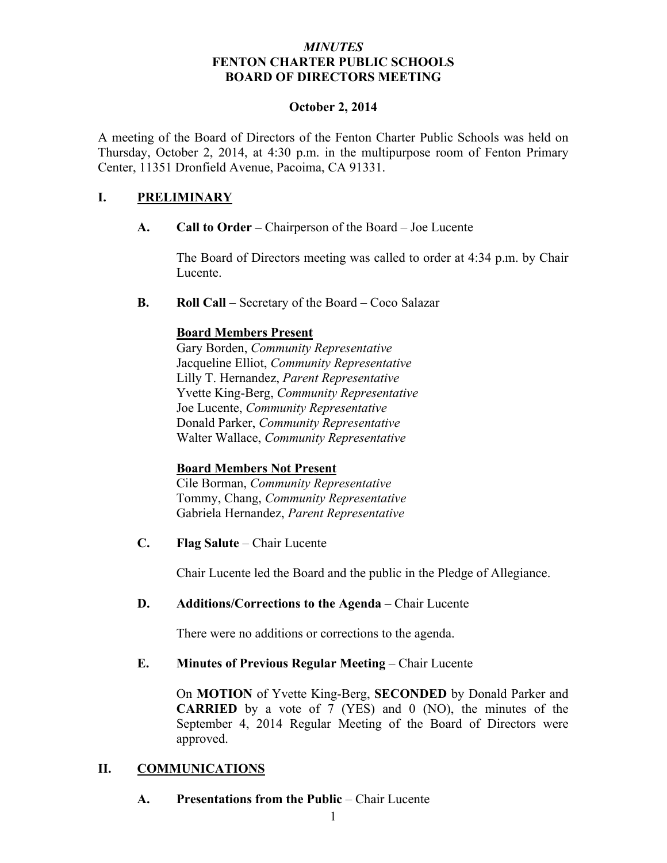#### *MINUTES* **FENTON CHARTER PUBLIC SCHOOLS BOARD OF DIRECTORS MEETING**

#### **October 2, 2014**

A meeting of the Board of Directors of the Fenton Charter Public Schools was held on Thursday, October 2, 2014, at 4:30 p.m. in the multipurpose room of Fenton Primary Center, 11351 Dronfield Avenue, Pacoima, CA 91331.

# **I. PRELIMINARY**

**A. Call to Order –** Chairperson of the Board – Joe Lucente

The Board of Directors meeting was called to order at 4:34 p.m. by Chair Lucente.

**B. Roll Call** – Secretary of the Board – Coco Salazar

# **Board Members Present**

Gary Borden, *Community Representative* Jacqueline Elliot, *Community Representative* Lilly T. Hernandez, *Parent Representative* Yvette King-Berg, *Community Representative* Joe Lucente, *Community Representative* Donald Parker, *Community Representative* Walter Wallace, *Community Representative*

### **Board Members Not Present**

Cile Borman, *Community Representative* Tommy, Chang, *Community Representative* Gabriela Hernandez, *Parent Representative*

**C. Flag Salute** – Chair Lucente

Chair Lucente led the Board and the public in the Pledge of Allegiance.

### **D. Additions/Corrections to the Agenda** – Chair Lucente

There were no additions or corrections to the agenda.

### **E. Minutes of Previous Regular Meeting – Chair Lucente**

On **MOTION** of Yvette King-Berg, **SECONDED** by Donald Parker and **CARRIED** by a vote of 7 (YES) and 0 (NO), the minutes of the September 4, 2014 Regular Meeting of the Board of Directors were approved.

### **II. COMMUNICATIONS**

**A. Presentations from the Public** – Chair Lucente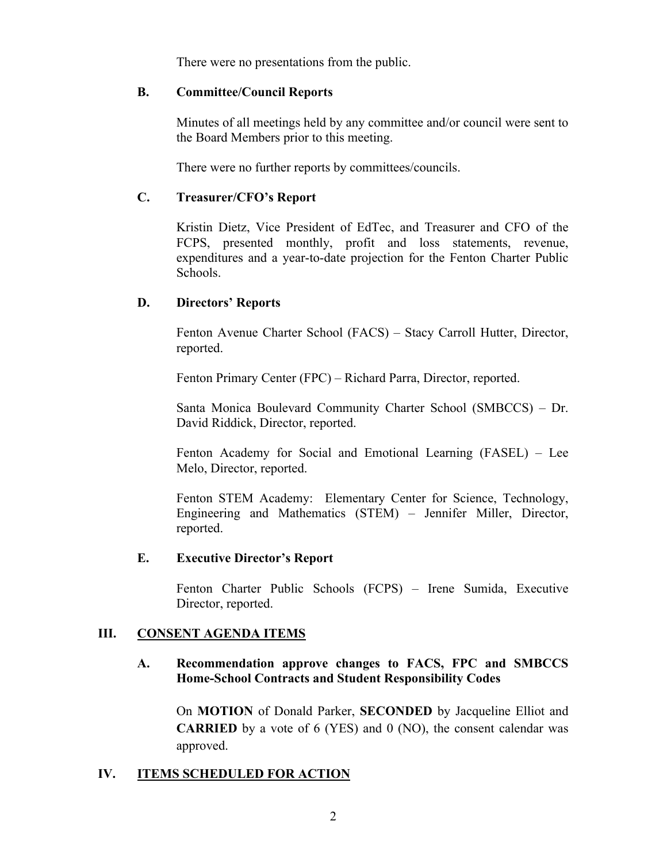There were no presentations from the public.

#### **B. Committee/Council Reports**

Minutes of all meetings held by any committee and/or council were sent to the Board Members prior to this meeting.

There were no further reports by committees/councils.

# **C. Treasurer/CFO's Report**

Kristin Dietz, Vice President of EdTec, and Treasurer and CFO of the FCPS, presented monthly, profit and loss statements, revenue, expenditures and a year-to-date projection for the Fenton Charter Public Schools.

# **D. Directors' Reports**

Fenton Avenue Charter School (FACS) – Stacy Carroll Hutter, Director, reported.

Fenton Primary Center (FPC) – Richard Parra, Director, reported.

Santa Monica Boulevard Community Charter School (SMBCCS) – Dr. David Riddick, Director, reported.

Fenton Academy for Social and Emotional Learning (FASEL) – Lee Melo, Director, reported.

Fenton STEM Academy: Elementary Center for Science, Technology, Engineering and Mathematics (STEM) – Jennifer Miller, Director, reported.

### **E. Executive Director's Report**

Fenton Charter Public Schools (FCPS) – Irene Sumida, Executive Director, reported.

### **III. CONSENT AGENDA ITEMS**

### **A. Recommendation approve changes to FACS, FPC and SMBCCS Home-School Contracts and Student Responsibility Codes**

On **MOTION** of Donald Parker, **SECONDED** by Jacqueline Elliot and **CARRIED** by a vote of 6 (YES) and 0 (NO), the consent calendar was approved.

# **IV. ITEMS SCHEDULED FOR ACTION**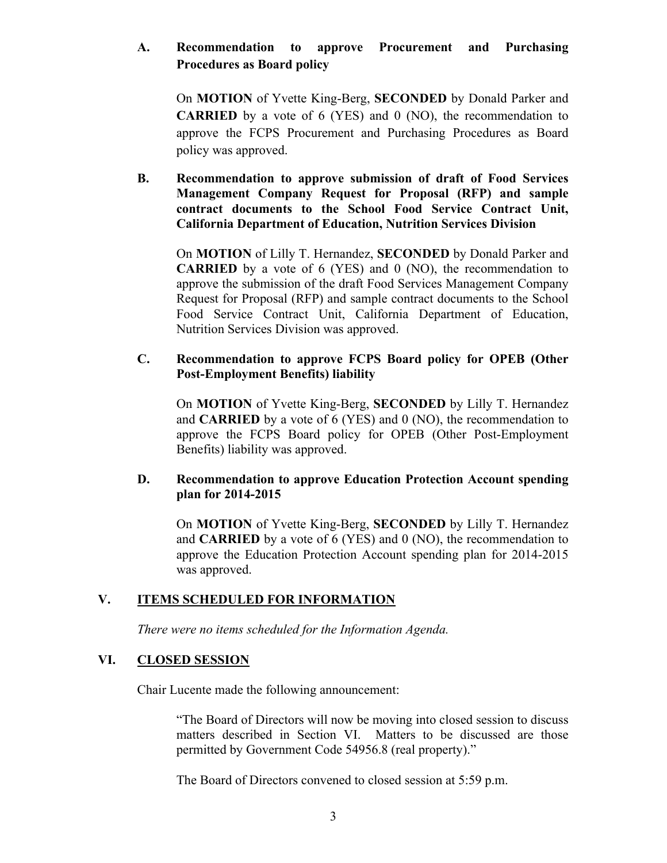# **A. Recommendation to approve Procurement and Purchasing Procedures as Board policy**

On **MOTION** of Yvette King-Berg, **SECONDED** by Donald Parker and **CARRIED** by a vote of 6 (YES) and 0 (NO), the recommendation to approve the FCPS Procurement and Purchasing Procedures as Board policy was approved.

**B. Recommendation to approve submission of draft of Food Services Management Company Request for Proposal (RFP) and sample contract documents to the School Food Service Contract Unit, California Department of Education, Nutrition Services Division**

On **MOTION** of Lilly T. Hernandez, **SECONDED** by Donald Parker and **CARRIED** by a vote of 6 (YES) and 0 (NO), the recommendation to approve the submission of the draft Food Services Management Company Request for Proposal (RFP) and sample contract documents to the School Food Service Contract Unit, California Department of Education, Nutrition Services Division was approved.

#### **C. Recommendation to approve FCPS Board policy for OPEB (Other Post-Employment Benefits) liability**

On **MOTION** of Yvette King-Berg, **SECONDED** by Lilly T. Hernandez and **CARRIED** by a vote of 6 (YES) and 0 (NO), the recommendation to approve the FCPS Board policy for OPEB (Other Post-Employment Benefits) liability was approved.

#### **D. Recommendation to approve Education Protection Account spending plan for 2014-2015**

On **MOTION** of Yvette King-Berg, **SECONDED** by Lilly T. Hernandez and **CARRIED** by a vote of 6 (YES) and 0 (NO), the recommendation to approve the Education Protection Account spending plan for 2014-2015 was approved.

### **V. ITEMS SCHEDULED FOR INFORMATION**

*There were no items scheduled for the Information Agenda.*

### **VI. CLOSED SESSION**

Chair Lucente made the following announcement:

"The Board of Directors will now be moving into closed session to discuss matters described in Section VI. Matters to be discussed are those permitted by Government Code 54956.8 (real property)."

The Board of Directors convened to closed session at 5:59 p.m.